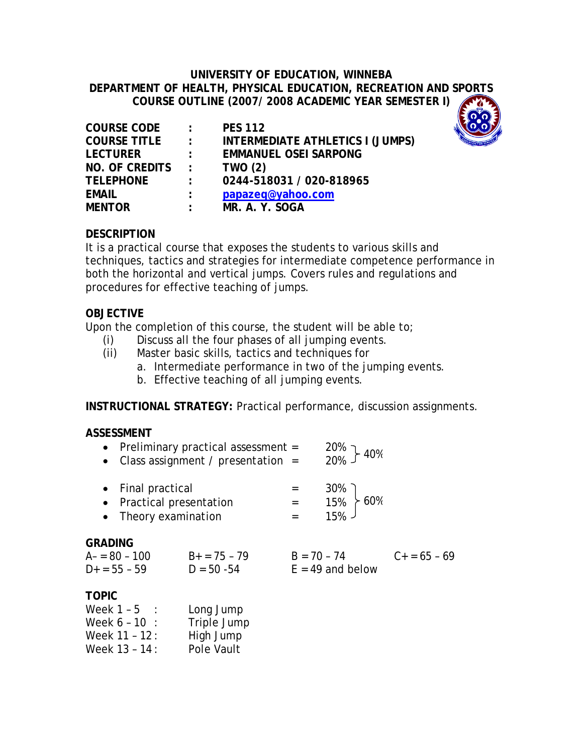### **UNIVERSITY OF EDUCATION, WINNEBA DEPARTMENT OF HEALTH, PHYSICAL EDUCATION, RECREATION AND SPORTS COURSE OUTLINE (2007/ 2008 ACADEMIC YEAR SEMESTER I)**

| <b>COURSE CODE</b>  | $\sim$ 100 $\sim$         | <b>PES 112</b>                          |
|---------------------|---------------------------|-----------------------------------------|
| <b>COURSE TITLE</b> | $\sim$ 100 $\sim$         | <b>INTERMEDIATE ATHLETICS I (JUMPS)</b> |
| <b>LECTURER</b>     | $\mathcal{L}$             | <b>EMMANUEL OSEI SARPONG</b>            |
| NO. OF CREDITS      | $\mathcal{L}$             | <b>TWO (2)</b>                          |
| <b>TELEPHONE</b>    | $\mathbb{R}^{\mathbb{Z}}$ | 0244-518031 / 020-818965                |
| <b>EMAIL</b>        | $\mathcal{L}$             | papazeq@yahoo.com                       |
| <b>MENTOR</b>       | $\mathcal{L}$             | MR. A. Y. SOGA                          |
|                     |                           |                                         |



## **DESCRIPTION**

It is a practical course that exposes the students to various skills and techniques, tactics and strategies for intermediate competence performance in both the horizontal and vertical jumps. Covers rules and regulations and procedures for effective teaching of jumps.

#### **OBJECTIVE**

Upon the completion of this course, the student will be able to;

- (i) Discuss all the four phases of all jumping events.
- (ii) Master basic skills, tactics and techniques for
	- a. Intermediate performance in two of the jumping events.
	- b. Effective teaching of all jumping events.

**INSTRUCTIONAL STRATEGY:** Practical performance, discussion assignments.

#### **ASSESSMENT**

Week  $11 - 12$ : High Jump Week 13 - 14 : Pole Vault

| $\bullet$                                          | • Preliminary practical assessment $=$<br>Class assignment / presentation = |  | $\frac{20\%}{20\%}$ } 40%           |                   |
|----------------------------------------------------|-----------------------------------------------------------------------------|--|-------------------------------------|-------------------|
|                                                    | • Final practical<br>• Practical presentation<br>• Theory examination       |  | $=$ 30%<br>$=$ 15% 60%<br>$=$ 15%   |                   |
| <b>GRADING</b><br>$A = 80 - 100$<br>$D+ = 55 - 59$ | $B_+ = 75 - 79$<br>$D = 50 - 54$                                            |  | $B = 70 - 74$<br>$E = 49$ and below | $C_{+} = 65 - 69$ |
| <b>TOPIC</b><br>Week $1 - 5$ :<br>Week $6 - 10$ :  | Long Jump<br>Triple Jump                                                    |  |                                     |                   |